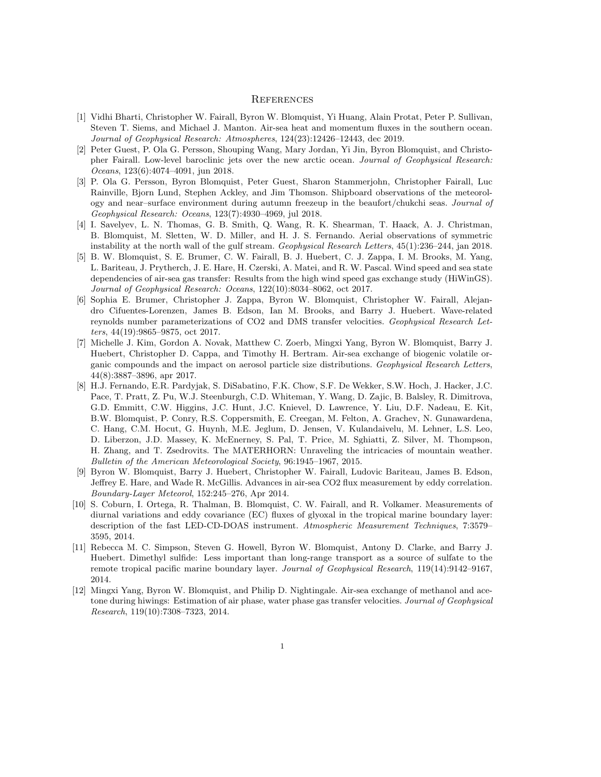## **REFERENCES**

- [1] Vidhi Bharti, Christopher W. Fairall, Byron W. Blomquist, Yi Huang, Alain Protat, Peter P. Sullivan, Steven T. Siems, and Michael J. Manton. Air-sea heat and momentum fluxes in the southern ocean. Journal of Geophysical Research: Atmospheres, 124(23):12426–12443, dec 2019.
- [2] Peter Guest, P. Ola G. Persson, Shouping Wang, Mary Jordan, Yi Jin, Byron Blomquist, and Christopher Fairall. Low-level baroclinic jets over the new arctic ocean. Journal of Geophysical Research: Oceans, 123(6):4074–4091, jun 2018.
- [3] P. Ola G. Persson, Byron Blomquist, Peter Guest, Sharon Stammerjohn, Christopher Fairall, Luc Rainville, Bjorn Lund, Stephen Ackley, and Jim Thomson. Shipboard observations of the meteorology and near–surface environment during autumn freezeup in the beaufort/chukchi seas. Journal of Geophysical Research: Oceans, 123(7):4930–4969, jul 2018.
- [4] I. Savelyev, L. N. Thomas, G. B. Smith, Q. Wang, R. K. Shearman, T. Haack, A. J. Christman, B. Blomquist, M. Sletten, W. D. Miller, and H. J. S. Fernando. Aerial observations of symmetric instability at the north wall of the gulf stream. Geophysical Research Letters, 45(1):236–244, jan 2018.
- [5] B. W. Blomquist, S. E. Brumer, C. W. Fairall, B. J. Huebert, C. J. Zappa, I. M. Brooks, M. Yang, L. Bariteau, J. Prytherch, J. E. Hare, H. Czerski, A. Matei, and R. W. Pascal. Wind speed and sea state dependencies of air-sea gas transfer: Results from the high wind speed gas exchange study (HiWinGS). Journal of Geophysical Research: Oceans, 122(10):8034–8062, oct 2017.
- [6] Sophia E. Brumer, Christopher J. Zappa, Byron W. Blomquist, Christopher W. Fairall, Alejandro Cifuentes-Lorenzen, James B. Edson, Ian M. Brooks, and Barry J. Huebert. Wave-related reynolds number parameterizations of CO2 and DMS transfer velocities. Geophysical Research Letters, 44(19):9865–9875, oct 2017.
- [7] Michelle J. Kim, Gordon A. Novak, Matthew C. Zoerb, Mingxi Yang, Byron W. Blomquist, Barry J. Huebert, Christopher D. Cappa, and Timothy H. Bertram. Air-sea exchange of biogenic volatile organic compounds and the impact on aerosol particle size distributions. Geophysical Research Letters, 44(8):3887–3896, apr 2017.
- [8] H.J. Fernando, E.R. Pardyjak, S. DiSabatino, F.K. Chow, S.F. De Wekker, S.W. Hoch, J. Hacker, J.C. Pace, T. Pratt, Z. Pu, W.J. Steenburgh, C.D. Whiteman, Y. Wang, D. Zajic, B. Balsley, R. Dimitrova, G.D. Emmitt, C.W. Higgins, J.C. Hunt, J.C. Knievel, D. Lawrence, Y. Liu, D.F. Nadeau, E. Kit, B.W. Blomquist, P. Conry, R.S. Coppersmith, E. Creegan, M. Felton, A. Grachev, N. Gunawardena, C. Hang, C.M. Hocut, G. Huynh, M.E. Jeglum, D. Jensen, V. Kulandaivelu, M. Lehner, L.S. Leo, D. Liberzon, J.D. Massey, K. McEnerney, S. Pal, T. Price, M. Sghiatti, Z. Silver, M. Thompson, H. Zhang, and T. Zsedrovits. The MATERHORN: Unraveling the intricacies of mountain weather. Bulletin of the American Meteorological Society, 96:1945–1967, 2015.
- [9] Byron W. Blomquist, Barry J. Huebert, Christopher W. Fairall, Ludovic Bariteau, James B. Edson, Jeffrey E. Hare, and Wade R. McGillis. Advances in air-sea CO2 flux measurement by eddy correlation. Boundary-Layer Meteorol, 152:245–276, Apr 2014.
- [10] S. Coburn, I. Ortega, R. Thalman, B. Blomquist, C. W. Fairall, and R. Volkamer. Measurements of diurnal variations and eddy covariance (EC) fluxes of glyoxal in the tropical marine boundary layer: description of the fast LED-CD-DOAS instrument. Atmospheric Measurement Techniques, 7:3579– 3595, 2014.
- [11] Rebecca M. C. Simpson, Steven G. Howell, Byron W. Blomquist, Antony D. Clarke, and Barry J. Huebert. Dimethyl sulfide: Less important than long-range transport as a source of sulfate to the remote tropical pacific marine boundary layer. Journal of Geophysical Research, 119(14):9142–9167, 2014.
- [12] Mingxi Yang, Byron W. Blomquist, and Philip D. Nightingale. Air-sea exchange of methanol and acetone during hiwings: Estimation of air phase, water phase gas transfer velocities. Journal of Geophysical Research, 119(10):7308–7323, 2014.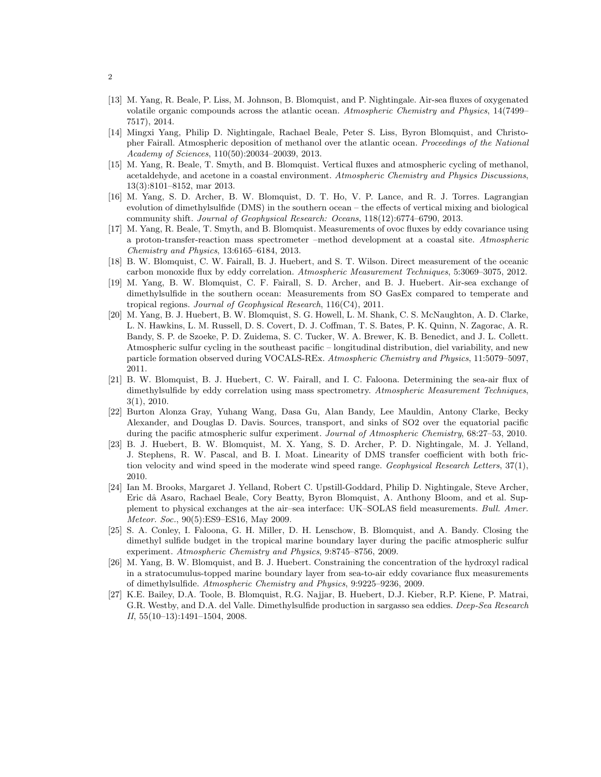- [13] M. Yang, R. Beale, P. Liss, M. Johnson, B. Blomquist, and P. Nightingale. Air-sea fluxes of oxygenated volatile organic compounds across the atlantic ocean. Atmospheric Chemistry and Physics, 14(7499– 7517), 2014.
- [14] Mingxi Yang, Philip D. Nightingale, Rachael Beale, Peter S. Liss, Byron Blomquist, and Christopher Fairall. Atmospheric deposition of methanol over the atlantic ocean. Proceedings of the National Academy of Sciences, 110(50):20034–20039, 2013.
- [15] M. Yang, R. Beale, T. Smyth, and B. Blomquist. Vertical fluxes and atmospheric cycling of methanol, acetaldehyde, and acetone in a coastal environment. Atmospheric Chemistry and Physics Discussions, 13(3):8101–8152, mar 2013.
- [16] M. Yang, S. D. Archer, B. W. Blomquist, D. T. Ho, V. P. Lance, and R. J. Torres. Lagrangian evolution of dimethylsulfide (DMS) in the southern ocean – the effects of vertical mixing and biological community shift. Journal of Geophysical Research: Oceans, 118(12):6774–6790, 2013.
- [17] M. Yang, R. Beale, T. Smyth, and B. Blomquist. Measurements of ovoc fluxes by eddy covariance using a proton-transfer-reaction mass spectrometer –method development at a coastal site. Atmospheric Chemistry and Physics, 13:6165–6184, 2013.
- [18] B. W. Blomquist, C. W. Fairall, B. J. Huebert, and S. T. Wilson. Direct measurement of the oceanic carbon monoxide flux by eddy correlation. Atmospheric Measurement Techniques, 5:3069–3075, 2012.
- [19] M. Yang, B. W. Blomquist, C. F. Fairall, S. D. Archer, and B. J. Huebert. Air-sea exchange of dimethylsulfide in the southern ocean: Measurements from SO GasEx compared to temperate and tropical regions. Journal of Geophysical Research, 116(C4), 2011.
- [20] M. Yang, B. J. Huebert, B. W. Blomquist, S. G. Howell, L. M. Shank, C. S. McNaughton, A. D. Clarke, L. N. Hawkins, L. M. Russell, D. S. Covert, D. J. Coffman, T. S. Bates, P. K. Quinn, N. Zagorac, A. R. Bandy, S. P. de Szoeke, P. D. Zuidema, S. C. Tucker, W. A. Brewer, K. B. Benedict, and J. L. Collett. Atmospheric sulfur cycling in the southeast pacific – longitudinal distribution, diel variability, and new particle formation observed during VOCALS-REx. Atmospheric Chemistry and Physics, 11:5079–5097, 2011.
- [21] B. W. Blomquist, B. J. Huebert, C. W. Fairall, and I. C. Faloona. Determining the sea-air flux of dimethylsulfide by eddy correlation using mass spectrometry. Atmospheric Measurement Techniques, 3(1), 2010.
- [22] Burton Alonza Gray, Yuhang Wang, Dasa Gu, Alan Bandy, Lee Mauldin, Antony Clarke, Becky Alexander, and Douglas D. Davis. Sources, transport, and sinks of SO2 over the equatorial pacific during the pacific atmospheric sulfur experiment. Journal of Atmospheric Chemistry, 68:27–53, 2010.
- [23] B. J. Huebert, B. W. Blomquist, M. X. Yang, S. D. Archer, P. D. Nightingale, M. J. Yelland, J. Stephens, R. W. Pascal, and B. I. Moat. Linearity of DMS transfer coefficient with both friction velocity and wind speed in the moderate wind speed range. Geophysical Research Letters, 37(1), 2010.
- [24] Ian M. Brooks, Margaret J. Yelland, Robert C. Upstill-Goddard, Philip D. Nightingale, Steve Archer, Eric dâ Asaro, Rachael Beale, Cory Beatty, Byron Blomquist, A. Anthony Bloom, and et al. Supplement to physical exchanges at the air–sea interface: UK–SOLAS field measurements. Bull. Amer. Meteor. Soc., 90(5):ES9–ES16, May 2009.
- [25] S. A. Conley, I. Faloona, G. H. Miller, D. H. Lenschow, B. Blomquist, and A. Bandy. Closing the dimethyl sulfide budget in the tropical marine boundary layer during the pacific atmospheric sulfur experiment. Atmospheric Chemistry and Physics, 9:8745–8756, 2009.
- [26] M. Yang, B. W. Blomquist, and B. J. Huebert. Constraining the concentration of the hydroxyl radical in a stratocumulus-topped marine boundary layer from sea-to-air eddy covariance flux measurements of dimethylsulfide. Atmospheric Chemistry and Physics, 9:9225–9236, 2009.
- [27] K.E. Bailey, D.A. Toole, B. Blomquist, R.G. Najjar, B. Huebert, D.J. Kieber, R.P. Kiene, P. Matrai, G.R. Westby, and D.A. del Valle. Dimethylsulfide production in sargasso sea eddies. Deep-Sea Research II, 55(10–13):1491–1504, 2008.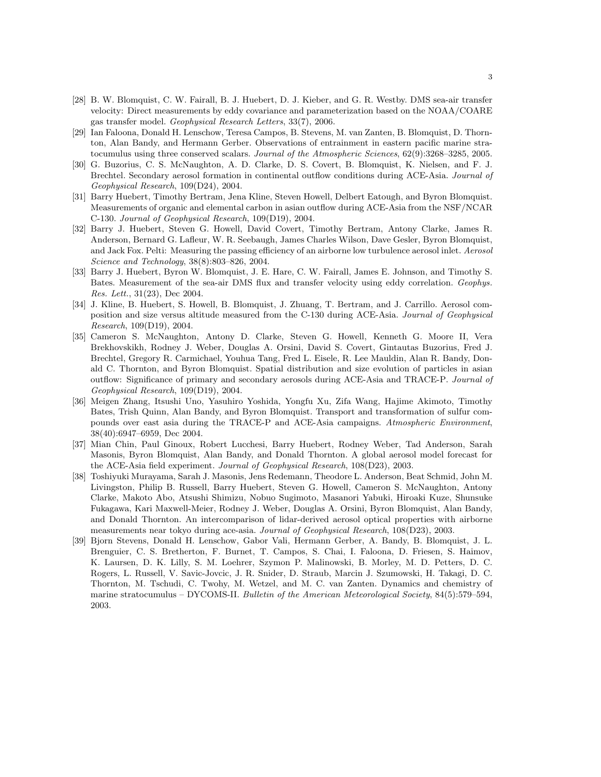- [28] B. W. Blomquist, C. W. Fairall, B. J. Huebert, D. J. Kieber, and G. R. Westby. DMS sea-air transfer velocity: Direct measurements by eddy covariance and parameterization based on the NOAA/COARE gas transfer model. Geophysical Research Letters, 33(7), 2006.
- [29] Ian Faloona, Donald H. Lenschow, Teresa Campos, B. Stevens, M. van Zanten, B. Blomquist, D. Thornton, Alan Bandy, and Hermann Gerber. Observations of entrainment in eastern pacific marine stratocumulus using three conserved scalars. Journal of the Atmospheric Sciences, 62(9):3268–3285, 2005.
- [30] G. Buzorius, C. S. McNaughton, A. D. Clarke, D. S. Covert, B. Blomquist, K. Nielsen, and F. J. Brechtel. Secondary aerosol formation in continental outflow conditions during ACE-Asia. Journal of Geophysical Research, 109(D24), 2004.
- [31] Barry Huebert, Timothy Bertram, Jena Kline, Steven Howell, Delbert Eatough, and Byron Blomquist. Measurements of organic and elemental carbon in asian outflow during ACE-Asia from the NSF/NCAR C-130. Journal of Geophysical Research, 109(D19), 2004.
- [32] Barry J. Huebert, Steven G. Howell, David Covert, Timothy Bertram, Antony Clarke, James R. Anderson, Bernard G. Lafleur, W. R. Seebaugh, James Charles Wilson, Dave Gesler, Byron Blomquist, and Jack Fox. Pelti: Measuring the passing efficiency of an airborne low turbulence aerosol inlet. Aerosol Science and Technology, 38(8):803–826, 2004.
- [33] Barry J. Huebert, Byron W. Blomquist, J. E. Hare, C. W. Fairall, James E. Johnson, and Timothy S. Bates. Measurement of the sea-air DMS flux and transfer velocity using eddy correlation. Geophys. Res. Lett., 31(23), Dec 2004.
- [34] J. Kline, B. Huebert, S. Howell, B. Blomquist, J. Zhuang, T. Bertram, and J. Carrillo. Aerosol composition and size versus altitude measured from the C-130 during ACE-Asia. Journal of Geophysical Research, 109(D19), 2004.
- [35] Cameron S. McNaughton, Antony D. Clarke, Steven G. Howell, Kenneth G. Moore II, Vera Brekhovskikh, Rodney J. Weber, Douglas A. Orsini, David S. Covert, Gintautas Buzorius, Fred J. Brechtel, Gregory R. Carmichael, Youhua Tang, Fred L. Eisele, R. Lee Mauldin, Alan R. Bandy, Donald C. Thornton, and Byron Blomquist. Spatial distribution and size evolution of particles in asian outflow: Significance of primary and secondary aerosols during ACE-Asia and TRACE-P. Journal of Geophysical Research, 109(D19), 2004.
- [36] Meigen Zhang, Itsushi Uno, Yasuhiro Yoshida, Yongfu Xu, Zifa Wang, Hajime Akimoto, Timothy Bates, Trish Quinn, Alan Bandy, and Byron Blomquist. Transport and transformation of sulfur compounds over east asia during the TRACE-P and ACE-Asia campaigns. Atmospheric Environment, 38(40):6947–6959, Dec 2004.
- [37] Mian Chin, Paul Ginoux, Robert Lucchesi, Barry Huebert, Rodney Weber, Tad Anderson, Sarah Masonis, Byron Blomquist, Alan Bandy, and Donald Thornton. A global aerosol model forecast for the ACE-Asia field experiment. Journal of Geophysical Research, 108(D23), 2003.
- [38] Toshiyuki Murayama, Sarah J. Masonis, Jens Redemann, Theodore L. Anderson, Beat Schmid, John M. Livingston, Philip B. Russell, Barry Huebert, Steven G. Howell, Cameron S. McNaughton, Antony Clarke, Makoto Abo, Atsushi Shimizu, Nobuo Sugimoto, Masanori Yabuki, Hiroaki Kuze, Shunsuke Fukagawa, Kari Maxwell-Meier, Rodney J. Weber, Douglas A. Orsini, Byron Blomquist, Alan Bandy, and Donald Thornton. An intercomparison of lidar-derived aerosol optical properties with airborne measurements near tokyo during ace-asia. Journal of Geophysical Research, 108(D23), 2003.
- [39] Bjorn Stevens, Donald H. Lenschow, Gabor Vali, Hermann Gerber, A. Bandy, B. Blomquist, J. L. Brenguier, C. S. Bretherton, F. Burnet, T. Campos, S. Chai, I. Faloona, D. Friesen, S. Haimov, K. Laursen, D. K. Lilly, S. M. Loehrer, Szymon P. Malinowski, B. Morley, M. D. Petters, D. C. Rogers, L. Russell, V. Savic-Jovcic, J. R. Snider, D. Straub, Marcin J. Szumowski, H. Takagi, D. C. Thornton, M. Tschudi, C. Twohy, M. Wetzel, and M. C. van Zanten. Dynamics and chemistry of marine stratocumulus – DYCOMS-II. Bulletin of the American Meteorological Society, 84(5):579–594, 2003.